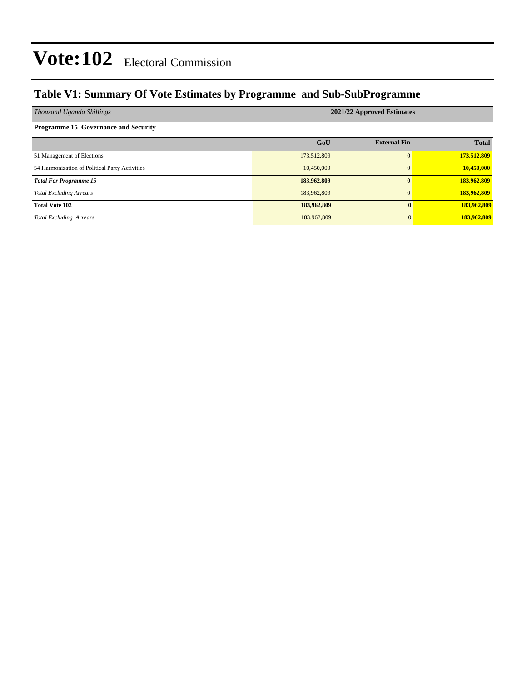#### **Table V1: Summary Of Vote Estimates by Programme and Sub-SubProgramme**

| Thousand Uganda Shillings                      | 2021/22 Approved Estimates |                     |              |  |  |  |  |
|------------------------------------------------|----------------------------|---------------------|--------------|--|--|--|--|
| <b>Programme 15 Governance and Security</b>    |                            |                     |              |  |  |  |  |
|                                                | GoU                        | <b>External Fin</b> | <b>Total</b> |  |  |  |  |
| 51 Management of Elections                     | 173,512,809                | $\Omega$            | 173,512,809  |  |  |  |  |
| 54 Harmonization of Political Party Activities | 10,450,000                 | $\mathbf{0}$        | 10,450,000   |  |  |  |  |
| <b>Total For Programme 15</b>                  | 183,962,809                | $\mathbf{0}$        | 183,962,809  |  |  |  |  |
| <b>Total Excluding Arrears</b>                 | 183,962,809                | $\mathbf{0}$        | 183,962,809  |  |  |  |  |
| <b>Total Vote 102</b>                          | 183,962,809                | $\mathbf{0}$        | 183,962,809  |  |  |  |  |
| <b>Total Excluding Arrears</b>                 | 183,962,809                | $\Omega$            | 183,962,809  |  |  |  |  |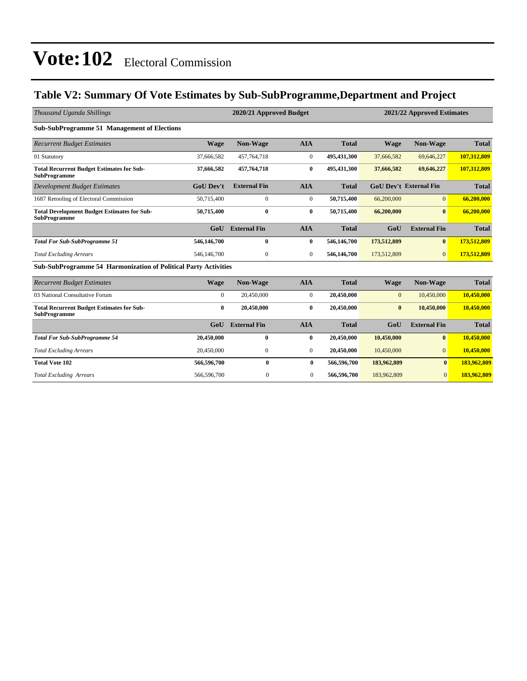### **Table V2: Summary Of Vote Estimates by Sub-SubProgramme,Department and Project**

| Thousand Uganda Shillings                                                 |                  | 2020/21 Approved Budget<br>2021/22 Approved Estimates |                  |              |              |                               |              |
|---------------------------------------------------------------------------|------------------|-------------------------------------------------------|------------------|--------------|--------------|-------------------------------|--------------|
| <b>Sub-SubProgramme 51 Management of Elections</b>                        |                  |                                                       |                  |              |              |                               |              |
| <b>Recurrent Budget Estimates</b>                                         | <b>Wage</b>      | <b>Non-Wage</b>                                       | <b>AIA</b>       | <b>Total</b> | <b>Wage</b>  | <b>Non-Wage</b>               | <b>Total</b> |
| 01 Statutory                                                              | 37,666,582       | 457,764,718                                           | $\overline{0}$   | 495,431,300  | 37,666,582   | 69,646,227                    | 107,312,809  |
| <b>Total Recurrent Budget Estimates for Sub-</b><br><b>SubProgramme</b>   | 37,666,582       | 457,764,718                                           | $\bf{0}$         | 495,431,300  | 37,666,582   | 69,646,227                    | 107,312,809  |
| <b>Development Budget Estimates</b>                                       | <b>GoU Dev't</b> | <b>External Fin</b>                                   | <b>AIA</b>       | <b>Total</b> |              | <b>GoU Dev't External Fin</b> | <b>Total</b> |
| 1687 Retooling of Electoral Commission                                    | 50,715,400       | $\boldsymbol{0}$                                      | $\boldsymbol{0}$ | 50,715,400   | 66,200,000   | $\overline{0}$                | 66,200,000   |
| <b>Total Development Budget Estimates for Sub-</b><br><b>SubProgramme</b> | 50,715,400       | $\bf{0}$                                              | $\bf{0}$         | 50,715,400   | 66,200,000   | $\mathbf{0}$                  | 66,200,000   |
|                                                                           | G <sub>0</sub> U | <b>External Fin</b>                                   | <b>AIA</b>       | <b>Total</b> | GoU          | <b>External Fin</b>           | <b>Total</b> |
| <b>Total For Sub-SubProgramme 51</b>                                      | 546,146,700      | $\bf{0}$                                              | $\bf{0}$         | 546,146,700  | 173,512,809  | $\bf{0}$                      | 173,512,809  |
| <b>Total Excluding Arrears</b>                                            | 546,146,700      | $\mathbf{0}$                                          | $\overline{0}$   | 546,146,700  | 173,512,809  | $\overline{0}$                | 173,512,809  |
| <b>Sub-SubProgramme 54 Harmonization of Political Party Activities</b>    |                  |                                                       |                  |              |              |                               |              |
| <b>Recurrent Budget Estimates</b>                                         | <b>Wage</b>      | <b>Non-Wage</b>                                       | <b>AIA</b>       | <b>Total</b> | <b>Wage</b>  | Non-Wage                      | <b>Total</b> |
| 03 National Consultative Forum                                            | $\overline{0}$   | 20,450,000                                            | $\boldsymbol{0}$ | 20,450,000   | $\mathbf{0}$ | 10,450,000                    | 10,450,000   |
| <b>Total Recurrent Budget Estimates for Sub-</b><br><b>SubProgramme</b>   | $\bf{0}$         | 20,450,000                                            | $\bf{0}$         | 20,450,000   | $\bf{0}$     | 10,450,000                    | 10,450,000   |
|                                                                           | G <sub>0</sub> U | <b>External Fin</b>                                   | <b>AIA</b>       | <b>Total</b> | GoU          | <b>External Fin</b>           | <b>Total</b> |
| <b>Total For Sub-SubProgramme 54</b>                                      | 20,450,000       | $\bf{0}$                                              | $\bf{0}$         | 20,450,000   | 10,450,000   | $\bf{0}$                      | 10,450,000   |
| <b>Total Excluding Arrears</b>                                            | 20,450,000       | $\Omega$                                              | $\overline{0}$   | 20,450,000   | 10,450,000   | $\overline{0}$                | 10,450,000   |
| <b>Total Vote 102</b>                                                     | 566,596,700      | $\bf{0}$                                              | $\bf{0}$         | 566,596,700  | 183,962,809  | $\mathbf{0}$                  | 183,962,809  |
| <b>Total Excluding Arrears</b>                                            | 566,596,700      | $\mathbf{0}$                                          | $\overline{0}$   | 566,596,700  | 183,962,809  | $\overline{0}$                | 183,962,809  |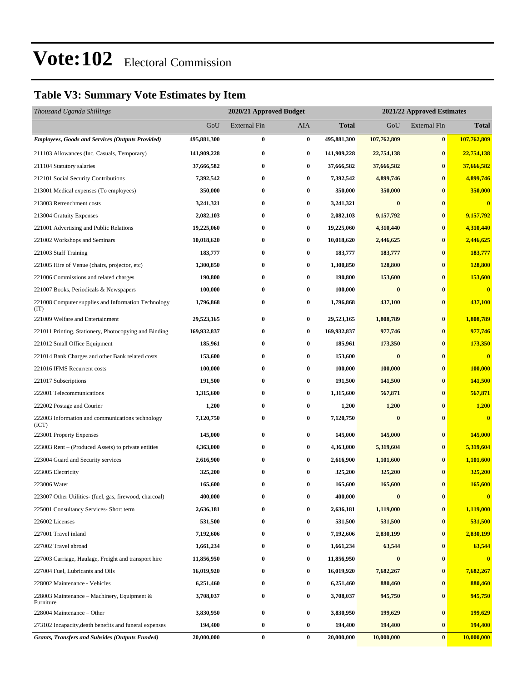### **Table V3: Summary Vote Estimates by Item**

| Thousand Uganda Shillings                                   |             | 2020/21 Approved Budget |          |              | 2021/22 Approved Estimates |                     |                         |  |
|-------------------------------------------------------------|-------------|-------------------------|----------|--------------|----------------------------|---------------------|-------------------------|--|
|                                                             | GoU         | <b>External Fin</b>     | AIA      | <b>Total</b> | GoU                        | <b>External Fin</b> | <b>Total</b>            |  |
| <b>Employees, Goods and Services (Outputs Provided)</b>     | 495,881,300 | 0                       | $\bf{0}$ | 495,881,300  | 107,762,809                | $\bf{0}$            | 107,762,809             |  |
| 211103 Allowances (Inc. Casuals, Temporary)                 | 141,909,228 | 0                       | $\bf{0}$ | 141,909,228  | 22,754,138                 | $\bf{0}$            | 22,754,138              |  |
| 211104 Statutory salaries                                   | 37,666,582  | 0                       | $\bf{0}$ | 37,666,582   | 37,666,582                 | $\bf{0}$            | 37,666,582              |  |
| 212101 Social Security Contributions                        | 7,392,542   | 0                       | $\bf{0}$ | 7,392,542    | 4,899,746                  | $\bf{0}$            | 4,899,746               |  |
| 213001 Medical expenses (To employees)                      | 350,000     | 0                       | $\bf{0}$ | 350,000      | 350,000                    | $\bf{0}$            | 350,000                 |  |
| 213003 Retrenchment costs                                   | 3,241,321   | 0                       | $\bf{0}$ | 3,241,321    | $\bf{0}$                   | $\bf{0}$            | $\bf{0}$                |  |
| 213004 Gratuity Expenses                                    | 2,082,103   | 0                       | $\bf{0}$ | 2,082,103    | 9,157,792                  | $\bf{0}$            | 9,157,792               |  |
| 221001 Advertising and Public Relations                     | 19,225,060  | 0                       | $\bf{0}$ | 19,225,060   | 4,310,440                  | $\bf{0}$            | 4,310,440               |  |
| 221002 Workshops and Seminars                               | 10,018,620  | 0                       | $\bf{0}$ | 10,018,620   | 2,446,625                  | $\bf{0}$            | 2,446,625               |  |
| 221003 Staff Training                                       | 183,777     | 0                       | $\bf{0}$ | 183,777      | 183,777                    | $\bf{0}$            | 183,777                 |  |
| 221005 Hire of Venue (chairs, projector, etc)               | 1,300,850   | 0                       | $\bf{0}$ | 1,300,850    | 128,800                    | $\bf{0}$            | 128,800                 |  |
| 221006 Commissions and related charges                      | 190,800     | 0                       | $\bf{0}$ | 190,800      | 153,600                    | $\bf{0}$            | 153,600                 |  |
| 221007 Books, Periodicals & Newspapers                      | 100,000     | 0                       | $\bf{0}$ | 100,000      | $\bf{0}$                   | $\bf{0}$            | $\bf{0}$                |  |
| 221008 Computer supplies and Information Technology<br>(TT) | 1,796,868   | 0                       | $\bf{0}$ | 1,796,868    | 437,100                    | $\bf{0}$            | 437,100                 |  |
| 221009 Welfare and Entertainment                            | 29,523,165  | 0                       | $\bf{0}$ | 29,523,165   | 1,808,789                  | $\bf{0}$            | 1,808,789               |  |
| 221011 Printing, Stationery, Photocopying and Binding       | 169,932,837 | 0                       | $\bf{0}$ | 169,932,837  | 977,746                    | $\bf{0}$            | 977,746                 |  |
| 221012 Small Office Equipment                               | 185,961     | 0                       | $\bf{0}$ | 185,961      | 173,350                    | $\bf{0}$            | 173,350                 |  |
| 221014 Bank Charges and other Bank related costs            | 153,600     | 0                       | $\bf{0}$ | 153,600      | $\bf{0}$                   | $\bf{0}$            | $\overline{\mathbf{0}}$ |  |
| 221016 IFMS Recurrent costs                                 | 100,000     | 0                       | $\bf{0}$ | 100,000      | 100,000                    | $\bf{0}$            | 100,000                 |  |
| 221017 Subscriptions                                        | 191,500     | 0                       | $\bf{0}$ | 191,500      | 141,500                    | $\bf{0}$            | 141,500                 |  |
| 222001 Telecommunications                                   | 1,315,600   | 0                       | $\bf{0}$ | 1,315,600    | 567,871                    | $\bf{0}$            | 567,871                 |  |
| 222002 Postage and Courier                                  | 1,200       | 0                       | $\bf{0}$ | 1,200        | 1,200                      | $\bf{0}$            | 1,200                   |  |
| 222003 Information and communications technology<br>(ICT)   | 7,120,750   | 0                       | $\bf{0}$ | 7,120,750    | $\bf{0}$                   | $\bf{0}$            | $\bf{0}$                |  |
| 223001 Property Expenses                                    | 145,000     | 0                       | $\bf{0}$ | 145,000      | 145,000                    | $\bf{0}$            | 145,000                 |  |
| 223003 Rent – (Produced Assets) to private entities         | 4,363,000   | 0                       | $\bf{0}$ | 4,363,000    | 5,319,604                  | $\bf{0}$            | 5,319,604               |  |
| 223004 Guard and Security services                          | 2,616,900   | 0                       | $\bf{0}$ | 2,616,900    | 1,101,600                  | $\bf{0}$            | 1,101,600               |  |
| 223005 Electricity                                          | 325,200     | 0                       | $\bf{0}$ | 325,200      | 325,200                    | $\mathbf{0}$        | 325,200                 |  |
| 223006 Water                                                | 165,600     | 0                       | $\bf{0}$ | 165,600      | 165,600                    | $\bf{0}$            | 165,600                 |  |
| 223007 Other Utilities- (fuel, gas, firewood, charcoal)     | 400,000     | 0                       | $\bf{0}$ | 400,000      | $\bf{0}$                   | $\bf{0}$            | $\bf{0}$                |  |
| 225001 Consultancy Services- Short term                     | 2,636,181   | 0                       | $\bf{0}$ | 2,636,181    | 1,119,000                  | $\bf{0}$            | 1,119,000               |  |
| 226002 Licenses                                             | 531,500     | 0                       | $\bf{0}$ | 531,500      | 531,500                    | $\bf{0}$            | 531,500                 |  |
| 227001 Travel inland                                        | 7,192,606   | 0                       | $\bf{0}$ | 7,192,606    | 2,830,199                  | $\bf{0}$            | 2,830,199               |  |
| 227002 Travel abroad                                        | 1,661,234   | 0                       | $\bf{0}$ | 1,661,234    | 63,544                     | $\bf{0}$            | 63,544                  |  |
| 227003 Carriage, Haulage, Freight and transport hire        | 11,856,950  | 0                       | $\bf{0}$ | 11,856,950   | $\bf{0}$                   | $\bf{0}$            | $\mathbf{0}$            |  |
| 227004 Fuel, Lubricants and Oils                            | 16,019,920  | 0                       | $\bf{0}$ | 16,019,920   | 7,682,267                  | $\bf{0}$            | 7,682,267               |  |
| 228002 Maintenance - Vehicles                               | 6,251,460   | 0                       | $\bf{0}$ | 6,251,460    | 880,460                    | $\bf{0}$            | 880,460                 |  |
| 228003 Maintenance – Machinery, Equipment $\&$<br>Furniture | 3,708,037   | 0                       | $\bf{0}$ | 3,708,037    | 945,750                    | $\bf{0}$            | 945,750                 |  |
| 228004 Maintenance – Other                                  | 3,830,950   | 0                       | $\bf{0}$ | 3,830,950    | 199,629                    | $\bf{0}$            | 199,629                 |  |
| 273102 Incapacity, death benefits and funeral expenses      | 194,400     | 0                       | $\bf{0}$ | 194,400      | 194,400                    | $\bf{0}$            | 194,400                 |  |
| <b>Grants, Transfers and Subsides (Outputs Funded)</b>      | 20,000,000  | 0                       | $\bf{0}$ | 20,000,000   | 10,000,000                 | $\bf{0}$            | 10,000,000              |  |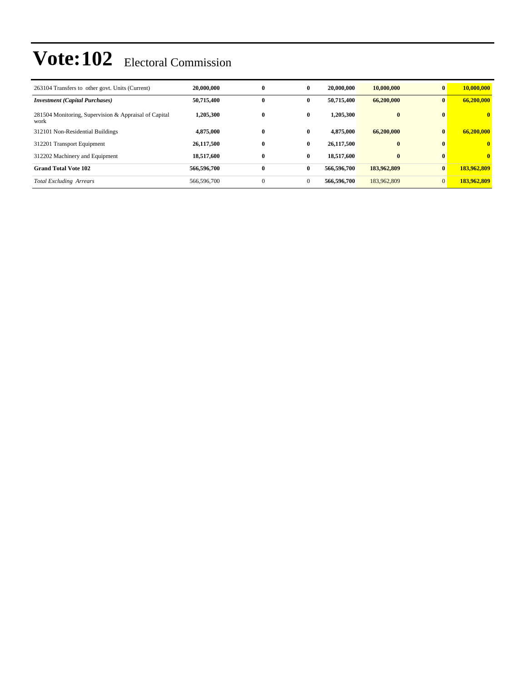| 263104 Transfers to other govt. Units (Current)               | 20,000,000  | $\bf{0}$     | $\bf{0}$     | 20,000,000  | 10,000,000   | $\mathbf{0}$   | 10,000,000   |
|---------------------------------------------------------------|-------------|--------------|--------------|-------------|--------------|----------------|--------------|
| <b>Investment</b> (Capital Purchases)                         | 50,715,400  | $\mathbf{0}$ | $\bf{0}$     | 50.715.400  | 66,200,000   | $\mathbf{0}$   | 66,200,000   |
| 281504 Monitoring, Supervision & Appraisal of Capital<br>work | 1,205,300   | $\bf{0}$     | $\bf{0}$     | 1.205.300   | $\mathbf{0}$ | $\mathbf{0}$   | $\mathbf{0}$ |
| 312101 Non-Residential Buildings                              | 4,875,000   | $\bf{0}$     | $\mathbf{0}$ | 4,875,000   | 66,200,000   | $\mathbf{0}$   | 66,200,000   |
| 312201 Transport Equipment                                    | 26,117,500  | $\bf{0}$     | $\mathbf{0}$ | 26,117,500  | $\mathbf{0}$ | $\mathbf{0}$   | $\mathbf{0}$ |
| 312202 Machinery and Equipment                                | 18,517,600  | $\bf{0}$     | $\bf{0}$     | 18.517.600  | $\mathbf{0}$ | $\mathbf{0}$   | $\mathbf{0}$ |
| <b>Grand Total Vote 102</b>                                   | 566,596,700 | $\bf{0}$     | $\bf{0}$     | 566,596,700 | 183,962,809  | $\mathbf{0}$   | 183,962,809  |
| <b>Total Excluding Arrears</b>                                | 566,596,700 | $\mathbf{0}$ | $\mathbf{0}$ | 566,596,700 | 183,962,809  | $\overline{0}$ | 183,962,809  |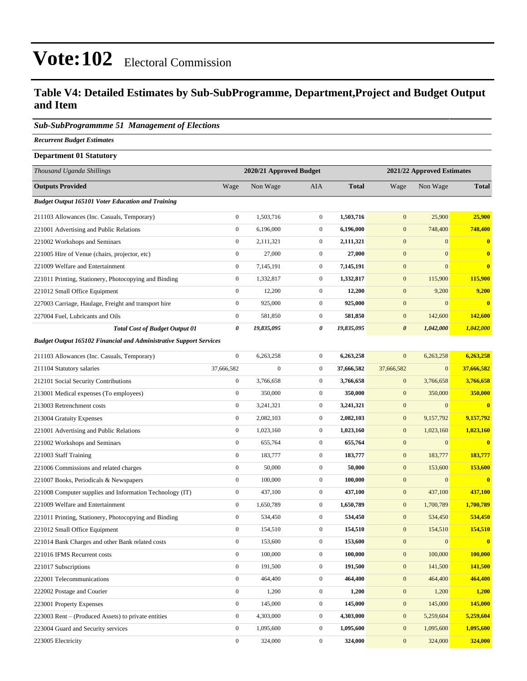#### **Table V4: Detailed Estimates by Sub-SubProgramme, Department,Project and Budget Output and Item**

#### *Sub-SubProgrammme 51 Management of Elections*

*Recurrent Budget Estimates*

| <b>Department 01 Statutory</b>                                            |                  |                         |                  |                            |                       |                  |              |
|---------------------------------------------------------------------------|------------------|-------------------------|------------------|----------------------------|-----------------------|------------------|--------------|
| Thousand Uganda Shillings                                                 |                  | 2020/21 Approved Budget |                  | 2021/22 Approved Estimates |                       |                  |              |
| <b>Outputs Provided</b>                                                   | Wage             | Non Wage                | AIA              | <b>Total</b>               | Wage                  | Non Wage         | <b>Total</b> |
| <b>Budget Output 165101 Voter Education and Training</b>                  |                  |                         |                  |                            |                       |                  |              |
| 211103 Allowances (Inc. Casuals, Temporary)                               | $\boldsymbol{0}$ | 1,503,716               | $\boldsymbol{0}$ | 1,503,716                  | $\mathbf{0}$          | 25,900           | 25,900       |
| 221001 Advertising and Public Relations                                   | $\boldsymbol{0}$ | 6,196,000               | $\boldsymbol{0}$ | 6,196,000                  | $\mathbf{0}$          | 748,400          | 748,400      |
| 221002 Workshops and Seminars                                             | $\boldsymbol{0}$ | 2,111,321               | $\mathbf{0}$     | 2,111,321                  | $\mathbf{0}$          | $\overline{0}$   | $\bf{0}$     |
| 221005 Hire of Venue (chairs, projector, etc)                             | $\boldsymbol{0}$ | 27,000                  | $\mathbf{0}$     | 27,000                     | $\mathbf{0}$          | $\boldsymbol{0}$ | $\bf{0}$     |
| 221009 Welfare and Entertainment                                          | $\boldsymbol{0}$ | 7,145,191               | $\mathbf{0}$     | 7,145,191                  | $\mathbf{0}$          | $\mathbf{0}$     | $\bf{0}$     |
| 221011 Printing, Stationery, Photocopying and Binding                     | $\boldsymbol{0}$ | 1,332,817               | $\boldsymbol{0}$ | 1,332,817                  | $\mathbf{0}$          | 115,900          | 115,900      |
| 221012 Small Office Equipment                                             | $\boldsymbol{0}$ | 12,200                  | $\mathbf{0}$     | 12,200                     | $\mathbf{0}$          | 9,200            | 9,200        |
| 227003 Carriage, Haulage, Freight and transport hire                      | $\boldsymbol{0}$ | 925,000                 | $\mathbf{0}$     | 925,000                    | $\mathbf{0}$          | $\overline{0}$   | $\bf{0}$     |
| 227004 Fuel, Lubricants and Oils                                          | $\boldsymbol{0}$ | 581,850                 | $\boldsymbol{0}$ | 581,850                    | $\mathbf{0}$          | 142,600          | 142,600      |
| <b>Total Cost of Budget Output 01</b>                                     | 0                | 19,835,095              | 0                | 19,835,095                 | $\boldsymbol{\theta}$ | 1,042,000        | 1,042,000    |
| <b>Budget Output 165102 Financial and Administrative Support Services</b> |                  |                         |                  |                            |                       |                  |              |
| 211103 Allowances (Inc. Casuals, Temporary)                               | $\boldsymbol{0}$ | 6,263,258               | $\boldsymbol{0}$ | 6,263,258                  | $\mathbf{0}$          | 6,263,258        | 6,263,258    |
| 211104 Statutory salaries                                                 | 37,666,582       | $\boldsymbol{0}$        | $\boldsymbol{0}$ | 37,666,582                 | 37,666,582            | $\boldsymbol{0}$ | 37,666,582   |
| 212101 Social Security Contributions                                      | $\boldsymbol{0}$ | 3,766,658               | $\mathbf{0}$     | 3,766,658                  | $\mathbf{0}$          | 3,766,658        | 3,766,658    |
| 213001 Medical expenses (To employees)                                    | $\boldsymbol{0}$ | 350,000                 | $\mathbf{0}$     | 350,000                    | $\mathbf{0}$          | 350,000          | 350,000      |
| 213003 Retrenchment costs                                                 | $\boldsymbol{0}$ | 3,241,321               | $\mathbf{0}$     | 3,241,321                  | $\mathbf{0}$          | $\mathbf{0}$     | $\bf{0}$     |
| 213004 Gratuity Expenses                                                  | $\boldsymbol{0}$ | 2,082,103               | $\boldsymbol{0}$ | 2,082,103                  | $\mathbf{0}$          | 9,157,792        | 9,157,792    |
| 221001 Advertising and Public Relations                                   | $\boldsymbol{0}$ | 1,023,160               | $\boldsymbol{0}$ | 1,023,160                  | $\bf{0}$              | 1,023,160        | 1,023,160    |
| 221002 Workshops and Seminars                                             | $\boldsymbol{0}$ | 655,764                 | $\mathbf{0}$     | 655,764                    | $\mathbf{0}$          | $\mathbf{0}$     | $\bf{0}$     |
| 221003 Staff Training                                                     | $\boldsymbol{0}$ | 183,777                 | $\mathbf{0}$     | 183,777                    | $\mathbf{0}$          | 183,777          | 183,777      |
| 221006 Commissions and related charges                                    | $\boldsymbol{0}$ | 50,000                  | $\boldsymbol{0}$ | 50,000                     | $\mathbf{0}$          | 153,600          | 153,600      |
| 221007 Books, Periodicals & Newspapers                                    | $\boldsymbol{0}$ | 100,000                 | $\boldsymbol{0}$ | 100,000                    | $\mathbf{0}$          | $\boldsymbol{0}$ | $\bf{0}$     |
| 221008 Computer supplies and Information Technology (IT)                  | $\boldsymbol{0}$ | 437,100                 | $\boldsymbol{0}$ | 437,100                    | $\bf{0}$              | 437,100          | 437,100      |
| 221009 Welfare and Entertainment                                          | $\boldsymbol{0}$ | 1,650,789               | $\boldsymbol{0}$ | 1,650,789                  | $\mathbf{0}$          | 1,700,789        | 1,700,789    |
| 221011 Printing, Stationery, Photocopying and Binding                     | $\boldsymbol{0}$ | 534,450                 | $\mathbf{0}$     | 534,450                    | $\mathbf{0}$          | 534,450          | 534,450      |
| 221012 Small Office Equipment                                             | $\boldsymbol{0}$ | 154,510                 | $\boldsymbol{0}$ | 154,510                    | $\mathbf{0}$          | 154,510          | 154,510      |
| 221014 Bank Charges and other Bank related costs                          | $\boldsymbol{0}$ | 153,600                 | $\boldsymbol{0}$ | 153,600                    | $\boldsymbol{0}$      | $\boldsymbol{0}$ | $\bf{0}$     |
| 221016 IFMS Recurrent costs                                               | $\boldsymbol{0}$ | 100,000                 | $\mathbf{0}$     | 100,000                    | $\boldsymbol{0}$      | 100,000          | 100,000      |
| 221017 Subscriptions                                                      | $\boldsymbol{0}$ | 191,500                 | $\boldsymbol{0}$ | 191,500                    | $\mathbf{0}$          | 141,500          | 141,500      |
| 222001 Telecommunications                                                 | $\boldsymbol{0}$ | 464,400                 | $\boldsymbol{0}$ | 464,400                    | $\mathbf{0}$          | 464,400          | 464,400      |
| 222002 Postage and Courier                                                | $\boldsymbol{0}$ | 1,200                   | $\boldsymbol{0}$ | 1,200                      | $\mathbf{0}$          | 1,200            | 1,200        |
| 223001 Property Expenses                                                  | $\boldsymbol{0}$ | 145,000                 | $\mathbf{0}$     | 145,000                    | $\mathbf{0}$          | 145,000          | 145,000      |
| 223003 Rent – (Produced Assets) to private entities                       | $\boldsymbol{0}$ | 4,303,000               | $\boldsymbol{0}$ | 4,303,000                  | $\mathbf{0}$          | 5,259,604        | 5,259,604    |
| 223004 Guard and Security services                                        | $\boldsymbol{0}$ | 1,095,600               | $\boldsymbol{0}$ | 1,095,600                  | $\mathbf{0}$          | 1,095,600        | 1,095,600    |
| 223005 Electricity                                                        | $\boldsymbol{0}$ | 324,000                 | $\boldsymbol{0}$ | 324,000                    | $\mathbf{0}$          | 324,000          | 324,000      |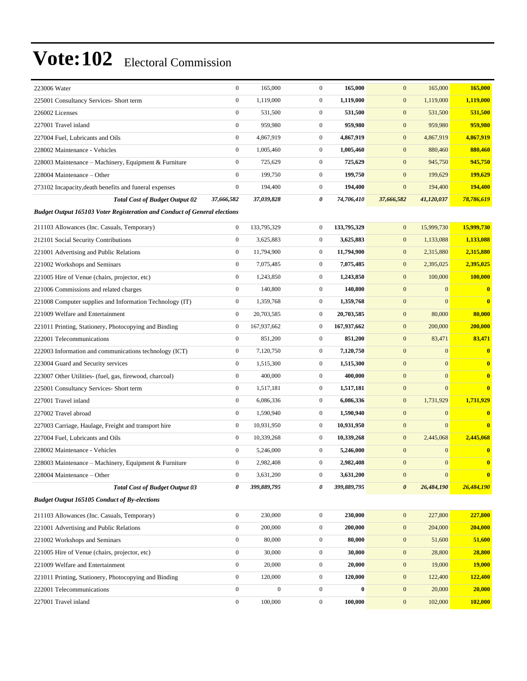| 223006 Water                                                                     | $\boldsymbol{0}$ | 165,000          | $\mathbf{0}$     | 165,000     | $\mathbf{0}$          | 165,000          | 165,000                 |
|----------------------------------------------------------------------------------|------------------|------------------|------------------|-------------|-----------------------|------------------|-------------------------|
| 225001 Consultancy Services- Short term                                          | $\boldsymbol{0}$ | 1,119,000        | $\boldsymbol{0}$ | 1,119,000   | $\mathbf{0}$          | 1,119,000        | 1,119,000               |
| 226002 Licenses                                                                  | $\boldsymbol{0}$ | 531,500          | $\boldsymbol{0}$ | 531,500     | $\boldsymbol{0}$      | 531,500          | 531,500                 |
| 227001 Travel inland                                                             | $\boldsymbol{0}$ | 959,980          | $\mathbf{0}$     | 959,980     | $\mathbf{0}$          | 959,980          | 959,980                 |
| 227004 Fuel, Lubricants and Oils                                                 | $\boldsymbol{0}$ | 4,867,919        | $\mathbf{0}$     | 4,867,919   | $\mathbf{0}$          | 4,867,919        | 4,867,919               |
| 228002 Maintenance - Vehicles                                                    | $\mathbf{0}$     | 1,005,460        | $\boldsymbol{0}$ | 1,005,460   | $\mathbf{0}$          | 880,460          | 880,460                 |
| 228003 Maintenance - Machinery, Equipment & Furniture                            | $\boldsymbol{0}$ | 725,629          | $\boldsymbol{0}$ | 725,629     | $\mathbf{0}$          | 945,750          | 945,750                 |
| 228004 Maintenance – Other                                                       | $\boldsymbol{0}$ | 199,750          | $\boldsymbol{0}$ | 199,750     | $\boldsymbol{0}$      | 199,629          | 199,629                 |
| 273102 Incapacity, death benefits and funeral expenses                           | $\boldsymbol{0}$ | 194,400          | $\mathbf{0}$     | 194,400     | $\mathbf{0}$          | 194,400          | 194,400                 |
| <b>Total Cost of Budget Output 02</b>                                            | 37,666,582       | 37,039,828       | 0                | 74,706,410  | 37,666,582            | 41,120,037       | 78,786,619              |
| <b>Budget Output 165103 Voter Registeration and Conduct of General elections</b> |                  |                  |                  |             |                       |                  |                         |
| 211103 Allowances (Inc. Casuals, Temporary)                                      | $\boldsymbol{0}$ | 133,795,329      | $\boldsymbol{0}$ | 133,795,329 | $\mathbf{0}$          | 15,999,730       | 15,999,730              |
| 212101 Social Security Contributions                                             | $\boldsymbol{0}$ | 3,625,883        | $\boldsymbol{0}$ | 3,625,883   | $\mathbf{0}$          | 1,133,088        | 1,133,088               |
| 221001 Advertising and Public Relations                                          | $\boldsymbol{0}$ | 11,794,900       | $\mathbf{0}$     | 11,794,900  | $\mathbf{0}$          | 2,315,880        | 2,315,880               |
| 221002 Workshops and Seminars                                                    | $\boldsymbol{0}$ | 7,075,485        | $\mathbf{0}$     | 7,075,485   | $\mathbf{0}$          | 2,395,025        | 2,395,025               |
| 221005 Hire of Venue (chairs, projector, etc)                                    | $\boldsymbol{0}$ | 1,243,850        | $\mathbf{0}$     | 1,243,850   | $\mathbf{0}$          | 100,000          | 100,000                 |
| 221006 Commissions and related charges                                           | $\mathbf{0}$     | 140,800          | $\mathbf{0}$     | 140,800     | $\mathbf{0}$          | $\mathbf{0}$     | $\bf{0}$                |
| 221008 Computer supplies and Information Technology (IT)                         | $\boldsymbol{0}$ | 1,359,768        | $\mathbf{0}$     | 1,359,768   | $\mathbf{0}$          | $\mathbf{0}$     | $\overline{\mathbf{0}}$ |
| 221009 Welfare and Entertainment                                                 | $\boldsymbol{0}$ | 20,703,585       | $\boldsymbol{0}$ | 20,703,585  | $\mathbf{0}$          | 80,000           | 80,000                  |
| 221011 Printing, Stationery, Photocopying and Binding                            | $\boldsymbol{0}$ | 167,937,662      | $\boldsymbol{0}$ | 167,937,662 | $\mathbf{0}$          | 200,000          | 200,000                 |
| 222001 Telecommunications                                                        | $\boldsymbol{0}$ | 851,200          | $\mathbf{0}$     | 851,200     | $\mathbf{0}$          | 83,471           | 83,471                  |
| 222003 Information and communications technology (ICT)                           | $\boldsymbol{0}$ | 7,120,750        | $\mathbf{0}$     | 7,120,750   | $\mathbf{0}$          | $\mathbf{0}$     | $\bf{0}$                |
| 223004 Guard and Security services                                               | $\boldsymbol{0}$ | 1,515,300        | $\boldsymbol{0}$ | 1,515,300   | $\mathbf{0}$          | $\mathbf{0}$     | $\bf{0}$                |
| 223007 Other Utilities- (fuel, gas, firewood, charcoal)                          | $\boldsymbol{0}$ | 400,000          | $\mathbf{0}$     | 400,000     | $\boldsymbol{0}$      | $\mathbf{0}$     | $\bf{0}$                |
| 225001 Consultancy Services- Short term                                          | $\boldsymbol{0}$ | 1,517,181        | $\mathbf{0}$     | 1,517,181   | $\mathbf{0}$          | $\mathbf{0}$     | $\bf{0}$                |
| 227001 Travel inland                                                             | $\boldsymbol{0}$ | 6,086,336        | $\mathbf{0}$     | 6,086,336   | $\mathbf{0}$          | 1,731,929        | 1,731,929               |
| 227002 Travel abroad                                                             | $\boldsymbol{0}$ | 1,590,940        | $\mathbf{0}$     | 1,590,940   | $\mathbf{0}$          | $\mathbf{0}$     | $\bf{0}$                |
| 227003 Carriage, Haulage, Freight and transport hire                             | $\boldsymbol{0}$ | 10,931,950       | $\mathbf{0}$     | 10,931,950  | $\mathbf{0}$          | $\mathbf{0}$     | $\overline{\mathbf{0}}$ |
| 227004 Fuel, Lubricants and Oils                                                 | $\boldsymbol{0}$ | 10,339,268       | $\mathbf{0}$     | 10,339,268  | $\mathbf{0}$          | 2,445,068        | 2,445,068               |
| 228002 Maintenance - Vehicles                                                    | $\boldsymbol{0}$ | 5,246,000        | $\mathbf{0}$     | 5,246,000   | $\mathbf{0}$          | $\mathbf{0}$     | $\bf{0}$                |
| 228003 Maintenance - Machinery, Equipment & Furniture                            | $\Omega$         | 2,982,408        | $\Omega$         | 2,982,408   | $\boldsymbol{0}$      | $\mathbf{0}$     | $\mathbf{0}$            |
| 228004 Maintenance - Other                                                       | $\boldsymbol{0}$ | 3,631,200        | $\boldsymbol{0}$ | 3,631,200   | $\mathbf{0}$          | $\boldsymbol{0}$ | $\bf{0}$                |
| <b>Total Cost of Budget Output 03</b>                                            | 0                | 399,889,795      | 0                | 399,889,795 | $\boldsymbol{\theta}$ | 26,484,190       | 26,484,190              |
| <b>Budget Output 165105 Conduct of By-elections</b>                              |                  |                  |                  |             |                       |                  |                         |
| 211103 Allowances (Inc. Casuals, Temporary)                                      | $\boldsymbol{0}$ | 230,000          | $\boldsymbol{0}$ | 230,000     | $\mathbf{0}$          | 227,800          | 227,800                 |
| 221001 Advertising and Public Relations                                          | $\boldsymbol{0}$ | 200,000          | $\boldsymbol{0}$ | 200,000     | $\boldsymbol{0}$      | 204,000          | 204,000                 |
| 221002 Workshops and Seminars                                                    | $\boldsymbol{0}$ | 80,000           | $\boldsymbol{0}$ | 80,000      | $\mathbf{0}$          | 51,600           | 51,600                  |
| 221005 Hire of Venue (chairs, projector, etc)                                    | $\boldsymbol{0}$ | 30,000           | $\boldsymbol{0}$ | 30,000      | $\boldsymbol{0}$      | 28,800           | 28,800                  |
| 221009 Welfare and Entertainment                                                 | $\boldsymbol{0}$ | 20,000           | $\boldsymbol{0}$ | 20,000      | $\mathbf{0}$          | 19,000           | <b>19,000</b>           |
| 221011 Printing, Stationery, Photocopying and Binding                            | $\boldsymbol{0}$ | 120,000          | $\boldsymbol{0}$ | 120,000     | $\mathbf{0}$          | 122,400          | 122,400                 |
| 222001 Telecommunications                                                        | $\boldsymbol{0}$ | $\boldsymbol{0}$ | $\boldsymbol{0}$ | $\bf{0}$    | $\boldsymbol{0}$      | 20,000           | 20,000                  |
| 227001 Travel inland                                                             | $\boldsymbol{0}$ | 100,000          | $\boldsymbol{0}$ | 100,000     | $\mathbf{0}$          | 102,000          | 102,000                 |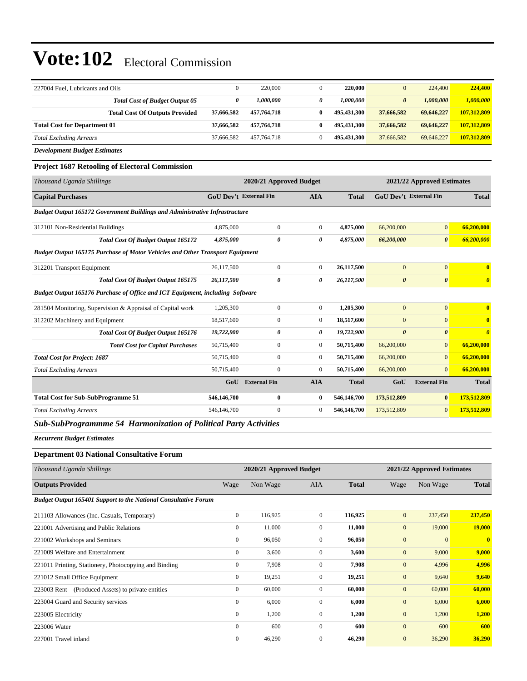| 227004 Fuel, Lubricants and Oils                                              | $\overline{0}$ | 220,000                       | $\overline{0}$ | 220,000      | $\Omega$                      | 224,400                    | 224,400                 |
|-------------------------------------------------------------------------------|----------------|-------------------------------|----------------|--------------|-------------------------------|----------------------------|-------------------------|
| <b>Total Cost of Budget Output 05</b>                                         | 0              | 1,000,000                     | 0              | 1,000,000    | $\boldsymbol{\theta}$         | 1,000,000                  | 1,000,000               |
| <b>Total Cost Of Outputs Provided</b>                                         | 37,666,582     | 457,764,718                   | $\bf{0}$       | 495,431,300  | 37,666,582                    | 69,646,227                 | 107,312,809             |
| <b>Total Cost for Department 01</b>                                           | 37,666,582     | 457,764,718                   | $\bf{0}$       | 495,431,300  | 37,666,582                    | 69,646,227                 | 107,312,809             |
| <b>Total Excluding Arrears</b>                                                | 37,666,582     | 457,764,718                   | $\mathbf{0}$   | 495,431,300  | 37,666,582                    | 69,646,227                 | 107,312,809             |
| <b>Development Budget Estimates</b>                                           |                |                               |                |              |                               |                            |                         |
| <b>Project 1687 Retooling of Electoral Commission</b>                         |                |                               |                |              |                               |                            |                         |
| Thousand Uganda Shillings                                                     |                | 2020/21 Approved Budget       |                |              |                               | 2021/22 Approved Estimates |                         |
| <b>Capital Purchases</b>                                                      |                | <b>GoU</b> Dev't External Fin | <b>AIA</b>     | <b>Total</b> | <b>GoU</b> Dev't External Fin |                            | <b>Total</b>            |
| Budget Output 165172 Government Buildings and Administrative Infrastructure   |                |                               |                |              |                               |                            |                         |
| 312101 Non-Residential Buildings                                              | 4,875,000      | $\boldsymbol{0}$              | $\mathbf{0}$   | 4,875,000    | 66,200,000                    | $\overline{0}$             | 66,200,000              |
| <b>Total Cost Of Budget Output 165172</b>                                     | 4,875,000      | $\theta$                      | 0              | 4,875,000    | 66,200,000                    | $\boldsymbol{\theta}$      | 66,200,000              |
| Budget Output 165175 Purchase of Motor Vehicles and Other Transport Equipment |                |                               |                |              |                               |                            |                         |
| 312201 Transport Equipment                                                    | 26,117,500     | $\overline{0}$                | $\overline{0}$ | 26,117,500   | $\mathbf{0}$                  | $\mathbf{0}$               | $\bf{0}$                |
| <b>Total Cost Of Budget Output 165175</b>                                     | 26,117,500     | 0                             | 0              | 26,117,500   | $\boldsymbol{\theta}$         | $\boldsymbol{\theta}$      | $\boldsymbol{\theta}$   |
| Budget Output 165176 Purchase of Office and ICT Equipment, including Software |                |                               |                |              |                               |                            |                         |
| 281504 Monitoring, Supervision & Appraisal of Capital work                    | 1,205,300      | $\boldsymbol{0}$              | $\overline{0}$ | 1,205,300    | $\mathbf{0}$                  | $\overline{0}$             | $\bf{0}$                |
| 312202 Machinery and Equipment                                                | 18,517,600     | $\overline{0}$                | $\overline{0}$ | 18,517,600   | $\mathbf{0}$                  | $\Omega$                   | $\overline{\mathbf{0}}$ |
| <b>Total Cost Of Budget Output 165176</b>                                     | 19,722,900     | 0                             | 0              | 19,722,900   | $\boldsymbol{\theta}$         | $\boldsymbol{\theta}$      | $\boldsymbol{\theta}$   |
| <b>Total Cost for Capital Purchases</b>                                       | 50,715,400     | $\boldsymbol{0}$              | $\mathbf{0}$   | 50,715,400   | 66,200,000                    | $\overline{0}$             | 66,200,000              |
| <b>Total Cost for Project: 1687</b>                                           | 50,715,400     | $\overline{0}$                | $\overline{0}$ | 50,715,400   | 66,200,000                    | $\overline{0}$             | 66,200,000              |
| <b>Total Excluding Arrears</b>                                                | 50,715,400     | $\overline{0}$                | $\mathbf{0}$   | 50,715,400   | 66,200,000                    | $\overline{0}$             | 66,200,000              |
|                                                                               | GoU            | <b>External Fin</b>           | <b>AIA</b>     | <b>Total</b> | GoU                           | <b>External Fin</b>        | <b>Total</b>            |
| <b>Total Cost for Sub-SubProgramme 51</b>                                     | 546,146,700    | $\bf{0}$                      | $\bf{0}$       | 546,146,700  | 173,512,809                   | $\bf{0}$                   | 173,512,809             |
| <b>Total Excluding Arrears</b>                                                | 546,146,700    | $\mathbf{0}$                  | $\mathbf{0}$   | 546,146,700  | 173,512,809                   | $\overline{0}$             | 173,512,809             |
| Sub-SubProgrammme 54 Harmonization of Political Party Activities              |                |                               |                |              |                               |                            |                         |

*Recurrent Budget Estimates*

#### **Department 03 National Consultative Forum**

| Thousand Uganda Shillings                                              |                | 2020/21 Approved Budget |              |              |                | 2021/22 Approved Estimates |              |
|------------------------------------------------------------------------|----------------|-------------------------|--------------|--------------|----------------|----------------------------|--------------|
| <b>Outputs Provided</b>                                                | Wage           | Non Wage                | <b>AIA</b>   | <b>Total</b> | Wage           | Non Wage                   | <b>Total</b> |
| <b>Budget Output 165401 Support to the National Consultative Forum</b> |                |                         |              |              |                |                            |              |
| 211103 Allowances (Inc. Casuals, Temporary)                            | $\overline{0}$ | 116,925                 | $\mathbf{0}$ | 116,925      | $\mathbf{0}$   | 237,450                    | 237,450      |
| 221001 Advertising and Public Relations                                | $\mathbf{0}$   | 11,000                  | $\Omega$     | 11,000       | $\mathbf{0}$   | 19,000                     | 19,000       |
| 221002 Workshops and Seminars                                          | $\mathbf{0}$   | 96,050                  | $\mathbf{0}$ | 96,050       | $\overline{0}$ | $\mathbf{0}$               | $\bf{0}$     |
| 221009 Welfare and Entertainment                                       | $\mathbf{0}$   | 3,600                   | $\mathbf{0}$ | 3,600        | $\mathbf{0}$   | 9,000                      | 9,000        |
| 221011 Printing, Stationery, Photocopying and Binding                  | $\mathbf{0}$   | 7,908                   | $\mathbf{0}$ | 7,908        | $\mathbf{0}$   | 4,996                      | 4,996        |
| 221012 Small Office Equipment                                          | $\mathbf{0}$   | 19,251                  | $\mathbf{0}$ | 19,251       | $\mathbf{0}$   | 9,640                      | 9,640        |
| 223003 Rent – (Produced Assets) to private entities                    | $\mathbf{0}$   | 60,000                  | $\mathbf{0}$ | 60,000       | $\mathbf{0}$   | 60,000                     | 60,000       |
| 223004 Guard and Security services                                     | $\overline{0}$ | 6,000                   | $\mathbf{0}$ | 6,000        | $\mathbf{0}$   | 6,000                      | 6,000        |
| 223005 Electricity                                                     | $\mathbf{0}$   | 1,200                   | $\mathbf{0}$ | 1,200        | $\mathbf{0}$   | 1,200                      | 1,200        |
| 223006 Water                                                           | $\mathbf{0}$   | 600                     | $\Omega$     | 600          | $\mathbf{0}$   | 600                        | 600          |
| 227001 Travel inland                                                   | $\mathbf{0}$   | 46,290                  | $\Omega$     | 46,290       | $\mathbf{0}$   | 36,290                     | 36,290       |